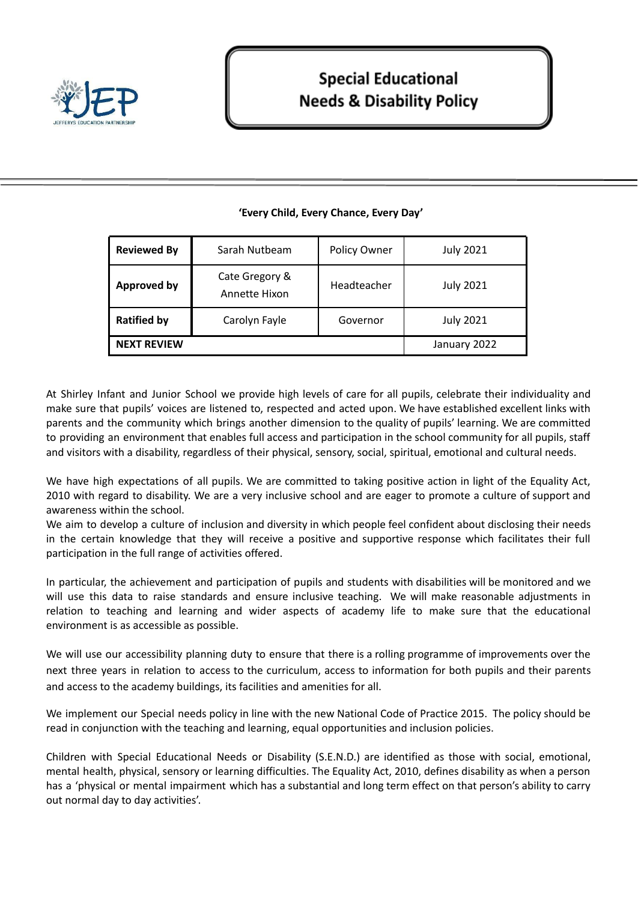

| <b>Reviewed By</b> | Sarah Nutbeam                   | Policy Owner | <b>July 2021</b> |
|--------------------|---------------------------------|--------------|------------------|
| <b>Approved by</b> | Cate Gregory &<br>Annette Hixon | Headteacher  | <b>July 2021</b> |
| <b>Ratified by</b> | Carolyn Fayle                   | Governor     | <b>July 2021</b> |
| <b>NEXT REVIEW</b> |                                 |              | January 2022     |

# **'Every Child, Every Chance, Every Day'**

At Shirley Infant and Junior School we provide high levels of care for all pupils, celebrate their individuality and make sure that pupils' voices are listened to, respected and acted upon. We have established excellent links with parents and the community which brings another dimension to the quality of pupils' learning. We are committed to providing an environment that enables full access and participation in the school community for all pupils, staff and visitors with a disability, regardless of their physical, sensory, social, spiritual, emotional and cultural needs.

We have high expectations of all pupils. We are committed to taking positive action in light of the Equality Act, 2010 with regard to disability. We are a very inclusive school and are eager to promote a culture of support and awareness within the school.

We aim to develop a culture of inclusion and diversity in which people feel confident about disclosing their needs in the certain knowledge that they will receive a positive and supportive response which facilitates their full participation in the full range of activities offered.

In particular, the achievement and participation of pupils and students with disabilities will be monitored and we will use this data to raise standards and ensure inclusive teaching. We will make reasonable adjustments in relation to teaching and learning and wider aspects of academy life to make sure that the educational environment is as accessible as possible.

We will use our accessibility planning duty to ensure that there is a rolling programme of improvements over the next three years in relation to access to the curriculum, access to information for both pupils and their parents and access to the academy buildings, its facilities and amenities for all.

We implement our Special needs policy in line with the new National Code of Practice 2015. The policy should be read in conjunction with the teaching and learning, equal opportunities and inclusion policies.

Children with Special Educational Needs or Disability (S.E.N.D.) are identified as those with social, emotional, mental health, physical, sensory or learning difficulties. The Equality Act, 2010, defines disability as when a person has a 'physical or mental impairment which has a substantial and long term effect on that person's ability to carry out normal day to day activities'.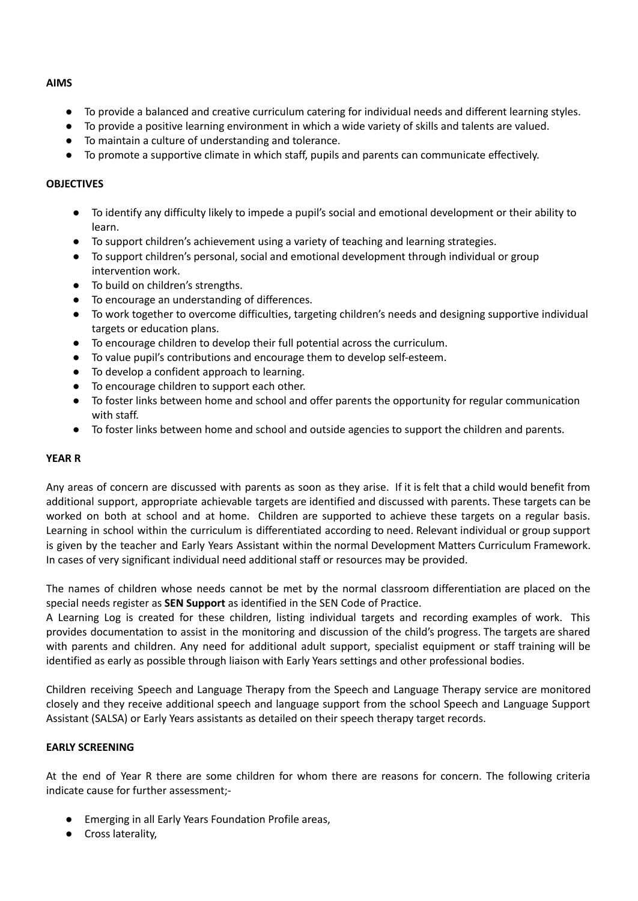### **AIMS**

- To provide a balanced and creative curriculum catering for individual needs and different learning styles.
- To provide a positive learning environment in which a wide variety of skills and talents are valued.
- To maintain a culture of understanding and tolerance.
- To promote a supportive climate in which staff, pupils and parents can communicate effectively.

### **OBJECTIVES**

- To identify any difficulty likely to impede a pupil's social and emotional development or their ability to learn.
- To support children's achievement using a variety of teaching and learning strategies.
- To support children's personal, social and emotional development through individual or group intervention work.
- To build on children's strengths.
- To encourage an understanding of differences.
- To work together to overcome difficulties, targeting children's needs and designing supportive individual targets or education plans.
- To encourage children to develop their full potential across the curriculum.
- To value pupil's contributions and encourage them to develop self-esteem.
- To develop a confident approach to learning.
- To encourage children to support each other.
- To foster links between home and school and offer parents the opportunity for regular communication with staff.
- To foster links between home and school and outside agencies to support the children and parents.

# **YEAR R**

Any areas of concern are discussed with parents as soon as they arise. If it is felt that a child would benefit from additional support, appropriate achievable targets are identified and discussed with parents. These targets can be worked on both at school and at home. Children are supported to achieve these targets on a regular basis. Learning in school within the curriculum is differentiated according to need. Relevant individual or group support is given by the teacher and Early Years Assistant within the normal Development Matters Curriculum Framework. In cases of very significant individual need additional staff or resources may be provided.

The names of children whose needs cannot be met by the normal classroom differentiation are placed on the special needs register as **SEN Support** as identified in the SEN Code of Practice.

A Learning Log is created for these children, listing individual targets and recording examples of work. This provides documentation to assist in the monitoring and discussion of the child's progress. The targets are shared with parents and children. Any need for additional adult support, specialist equipment or staff training will be identified as early as possible through liaison with Early Years settings and other professional bodies.

Children receiving Speech and Language Therapy from the Speech and Language Therapy service are monitored closely and they receive additional speech and language support from the school Speech and Language Support Assistant (SALSA) or Early Years assistants as detailed on their speech therapy target records.

# **EARLY SCREENING**

At the end of Year R there are some children for whom there are reasons for concern. The following criteria indicate cause for further assessment;-

- Emerging in all Early Years Foundation Profile areas,
- Cross laterality,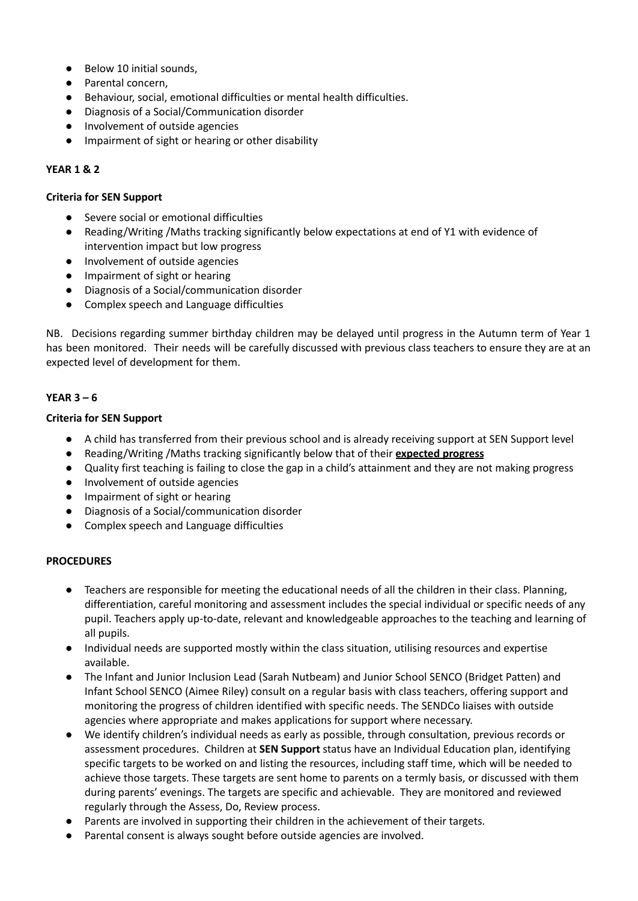- Below 10 initial sounds,
- Parental concern,
- Behaviour, social, emotional difficulties or mental health difficulties.
- Diagnosis of a Social/Communication disorder
- Involvement of outside agencies
- Impairment of sight or hearing or other disability

### **YEAR 1 & 2**

#### **Criteria for SEN Support**

- Severe social or emotional difficulties
- Reading/Writing /Maths tracking significantly below expectations at end of Y1 with evidence of intervention impact but low progress
- Involvement of outside agencies
- Impairment of sight or hearing
- Diagnosis of a Social/communication disorder
- Complex speech and Language difficulties

NB. Decisions regarding summer birthday children may be delayed until progress in the Autumn term of Year 1 has been monitored. Their needs will be carefully discussed with previous class teachers to ensure they are at an expected level of development for them.

### **YEAR 3 – 6**

#### **Criteria for SEN Support**

- A child has transferred from their previous school and is already receiving support at SEN Support level
- Reading/Writing /Maths tracking significantly below that of their **expected progress**
- Quality first teaching is failing to close the gap in a child's attainment and they are not making progress
- Involvement of outside agencies
- Impairment of sight or hearing
- Diagnosis of a Social/communication disorder
- Complex speech and Language difficulties

#### **PROCEDURES**

- Teachers are responsible for meeting the educational needs of all the children in their class. Planning, differentiation, careful monitoring and assessment includes the special individual or specific needs of any pupil. Teachers apply up-to-date, relevant and knowledgeable approaches to the teaching and learning of all pupils.
- Individual needs are supported mostly within the class situation, utilising resources and expertise available.
- The Infant and Junior Inclusion Lead (Sarah Nutbeam) and Junior School SENCO (Bridget Patten) and Infant School SENCO (Aimee Riley) consult on a regular basis with class teachers, offering support and monitoring the progress of children identified with specific needs. The SENDCo liaises with outside agencies where appropriate and makes applications for support where necessary.
- We identify children's individual needs as early as possible, through consultation, previous records or assessment procedures. Children at **SEN Support** status have an Individual Education plan, identifying specific targets to be worked on and listing the resources, including staff time, which will be needed to achieve those targets. These targets are sent home to parents on a termly basis, or discussed with them during parents' evenings. The targets are specific and achievable. They are monitored and reviewed regularly through the Assess, Do, Review process.
- Parents are involved in supporting their children in the achievement of their targets.
- Parental consent is always sought before outside agencies are involved.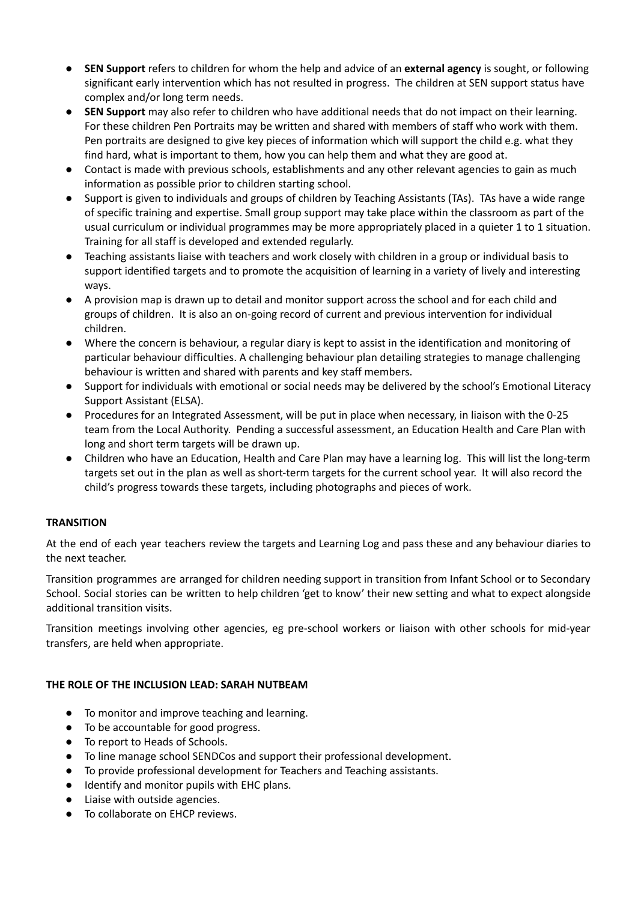- **SEN Support** refers to children for whom the help and advice of an **external agency** is sought, or following significant early intervention which has not resulted in progress. The children at SEN support status have complex and/or long term needs.
- **SEN Support** may also refer to children who have additional needs that do not impact on their learning. For these children Pen Portraits may be written and shared with members of staff who work with them. Pen portraits are designed to give key pieces of information which will support the child e.g. what they find hard, what is important to them, how you can help them and what they are good at.
- Contact is made with previous schools, establishments and any other relevant agencies to gain as much information as possible prior to children starting school.
- Support is given to individuals and groups of children by Teaching Assistants (TAs). TAs have a wide range of specific training and expertise. Small group support may take place within the classroom as part of the usual curriculum or individual programmes may be more appropriately placed in a quieter 1 to 1 situation. Training for all staff is developed and extended regularly.
- Teaching assistants liaise with teachers and work closely with children in a group or individual basis to support identified targets and to promote the acquisition of learning in a variety of lively and interesting ways.
- A provision map is drawn up to detail and monitor support across the school and for each child and groups of children. It is also an on-going record of current and previous intervention for individual children.
- Where the concern is behaviour, a regular diary is kept to assist in the identification and monitoring of particular behaviour difficulties. A challenging behaviour plan detailing strategies to manage challenging behaviour is written and shared with parents and key staff members.
- Support for individuals with emotional or social needs may be delivered by the school's Emotional Literacy Support Assistant (ELSA).
- Procedures for an Integrated Assessment, will be put in place when necessary, in liaison with the 0-25 team from the Local Authority. Pending a successful assessment, an Education Health and Care Plan with long and short term targets will be drawn up.
- Children who have an Education, Health and Care Plan may have a learning log. This will list the long-term targets set out in the plan as well as short-term targets for the current school year. It will also record the child's progress towards these targets, including photographs and pieces of work.

# **TRANSITION**

At the end of each year teachers review the targets and Learning Log and pass these and any behaviour diaries to the next teacher.

Transition programmes are arranged for children needing support in transition from Infant School or to Secondary School. Social stories can be written to help children 'get to know' their new setting and what to expect alongside additional transition visits.

Transition meetings involving other agencies, eg pre-school workers or liaison with other schools for mid-year transfers, are held when appropriate.

# **THE ROLE OF THE INCLUSION LEAD: SARAH NUTBEAM**

- To monitor and improve teaching and learning.
- To be accountable for good progress.
- To report to Heads of Schools.
- To line manage school SENDCos and support their professional development.
- To provide professional development for Teachers and Teaching assistants.
- Identify and monitor pupils with EHC plans.
- Liaise with outside agencies.
- To collaborate on EHCP reviews.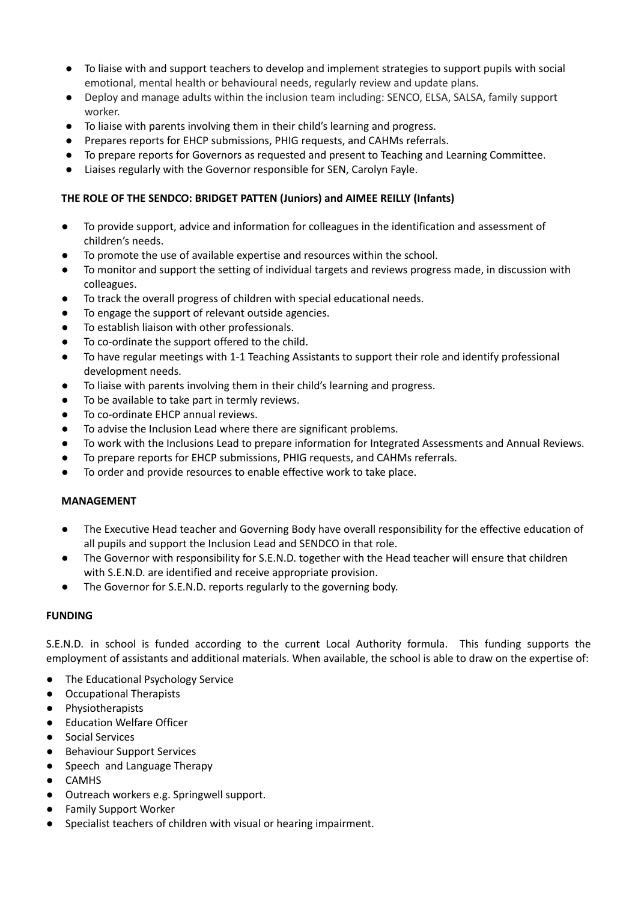- To liaise with and support teachers to develop and implement strategies to support pupils with social emotional, mental health or behavioural needs, regularly review and update plans.
- Deploy and manage adults within the inclusion team including: SENCO, ELSA, SALSA, family support worker.
- To liaise with parents involving them in their child's learning and progress.
- Prepares reports for EHCP submissions, PHIG requests, and CAHMs referrals.
- To prepare reports for Governors as requested and present to Teaching and Learning Committee.
- Liaises regularly with the Governor responsible for SEN, Carolyn Fayle.

# **THE ROLE OF THE SENDCO: BRIDGET PATTEN (Juniors) and AIMEE REILLY (Infants)**

- To provide support, advice and information for colleagues in the identification and assessment of children's needs.
- To promote the use of available expertise and resources within the school.
- To monitor and support the setting of individual targets and reviews progress made, in discussion with colleagues.
- To track the overall progress of children with special educational needs.
- To engage the support of relevant outside agencies.
- To establish liaison with other professionals.
- To co-ordinate the support offered to the child.
- To have regular meetings with 1-1 Teaching Assistants to support their role and identify professional development needs.
- To liaise with parents involving them in their child's learning and progress.
- To be available to take part in termly reviews.
- To co-ordinate EHCP annual reviews.
- To advise the Inclusion Lead where there are significant problems.
- To work with the Inclusions Lead to prepare information for Integrated Assessments and Annual Reviews.
- To prepare reports for EHCP submissions, PHIG requests, and CAHMs referrals.
- To order and provide resources to enable effective work to take place.

# **MANAGEMENT**

- The Executive Head teacher and Governing Body have overall responsibility for the effective education of all pupils and support the Inclusion Lead and SENDCO in that role.
- The Governor with responsibility for S.E.N.D. together with the Head teacher will ensure that children with S.E.N.D. are identified and receive appropriate provision.
- The Governor for S.E.N.D. reports regularly to the governing body.

# **FUNDING**

S.E.N.D. in school is funded according to the current Local Authority formula. This funding supports the employment of assistants and additional materials. When available, the school is able to draw on the expertise of:

- The Educational Psychology Service
- Occupational Therapists
- Physiotherapists
- Education Welfare Officer
- Social Services
- Behaviour Support Services
- Speech and Language Therapy
- CAMHS
- Outreach workers e.g. Springwell support.
- Family Support Worker
- Specialist teachers of children with visual or hearing impairment.